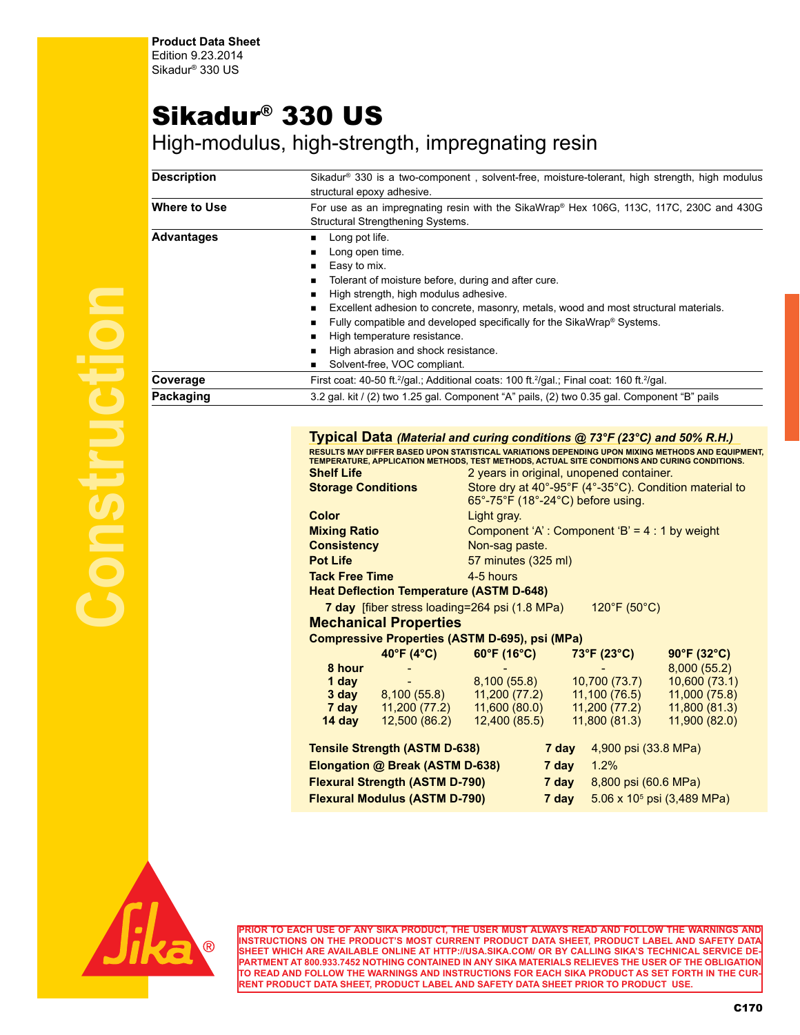## Sikadur® 330 US

High-modulus, high-strength, impregnating resin

| <b>Description</b> | Sikadur <sup>®</sup> 330 is a two-component, solvent-free, moisture-tolerant, high strength, high modulus<br>structural epoxy adhesive.                                                                                                                                                                                                                                                                                    |  |
|--------------------|----------------------------------------------------------------------------------------------------------------------------------------------------------------------------------------------------------------------------------------------------------------------------------------------------------------------------------------------------------------------------------------------------------------------------|--|
| Where to Use       | For use as an impregnating resin with the SikaWrap® Hex 106G, 113C, 117C, 230C and 430G<br>Structural Strengthening Systems.                                                                                                                                                                                                                                                                                               |  |
| <b>Advantages</b>  | Long pot life.<br>Long open time.<br>Easy to mix.<br>Tolerant of moisture before, during and after cure.<br>High strength, high modulus adhesive.<br>Excellent adhesion to concrete, masonry, metals, wood and most structural materials.<br>Fully compatible and developed specifically for the SikaWrap® Systems.<br>High temperature resistance.<br>High abrasion and shock resistance.<br>Solvent-free, VOC compliant. |  |
| Coverage           | First coat: 40-50 ft. <sup>2</sup> /gal.; Additional coats: 100 ft. <sup>2</sup> /gal.; Final coat: 160 ft. <sup>2</sup> /gal.                                                                                                                                                                                                                                                                                             |  |
| Packaging          | 3.2 gal. kit / (2) two 1.25 gal. Component "A" pails, (2) two 0.35 gal. Component "B" pails                                                                                                                                                                                                                                                                                                                                |  |

## **Typical Data** *(Material and curing conditions @ 73°F (23°C) and 50% R.H.)* **RESULTS MAY DIFFER BASED UPON STATISTICAL VARIATIONS DEPENDING UPON MIXING METHODS AND EQUIPMENT,**

|                           | TEMPERATURE. APPLICATION METHODS. TEST METHODS. ACTUAL SITE CONDITIONS AND CURING CONDITIONS. |  |
|---------------------------|-----------------------------------------------------------------------------------------------|--|
| Shelf Life                | 2 years in original, unopened container.                                                      |  |
| <b>Storage Conditions</b> | Store dry at 40°-95°F (4°-35°C). Condition material to                                        |  |

| <b>UIDIAYG UUINIIUIIJ</b>                       | $\frac{1}{2}$ of $\frac{1}{2}$ or $\frac{1}{2}$ or $\frac{1}{2}$ or $\frac{1}{2}$ or $\frac{1}{2}$ or $\frac{1}{2}$ in the control of $\frac{1}{2}$ |
|-------------------------------------------------|-----------------------------------------------------------------------------------------------------------------------------------------------------|
|                                                 | $65^\circ$ -75°F (18°-24°C) before using.                                                                                                           |
| <b>Color</b>                                    | Light gray.                                                                                                                                         |
| <b>Mixing Ratio</b>                             | Component 'A': Component 'B' = $4:1$ by weight                                                                                                      |
| <b>Consistency</b>                              | Non-sag paste.                                                                                                                                      |
| <b>Pot Life</b>                                 | 57 minutes (325 ml)                                                                                                                                 |
| <b>Tack Free Time</b>                           | 4-5 hours                                                                                                                                           |
| <b>Heat Deflection Temperature (ASTM D-648)</b> |                                                                                                                                                     |
| 7 day [fiber stress loading=264 psi (1.8 MPa)   | $120^{\circ}F(50^{\circ}C)$                                                                                                                         |
| Machanical Properties                           |                                                                                                                                                     |

## **Mechanical Properties**

|                                       | $40^{\circ}F(4^{\circ}C)$            | 60°F (16°C)   | 73°F (23°C)                   | 90°F (32°C)                   |
|---------------------------------------|--------------------------------------|---------------|-------------------------------|-------------------------------|
| 8 hour                                |                                      |               |                               | 8,000(55.2)                   |
| 1 day                                 |                                      | 8,100(55.8)   | 10,700 (73.7)                 | 10,600 (73.1)                 |
| 3 day                                 | 8,100(55.8)                          | 11,200(77.2)  | 11,100 (76.5)                 | 11,000 (75.8)                 |
| 7 day                                 | 11,200 (77.2)                        | 11,600 (80.0) | 11,200 (77.2)                 | 11,800 (81.3)                 |
| 14 day                                | 12,500 (86.2)                        | 12,400 (85.5) | 11,800 (81.3)                 | 11,900(82.0)                  |
|                                       |                                      |               |                               |                               |
|                                       | <b>Tensile Strength (ASTM D-638)</b> | 7 day         | 4,900 psi (33.8 MPa)          |                               |
| Elongation @ Break (ASTM D-638)       |                                      |               | 7 day<br>1.2%                 |                               |
| <b>Flexural Strength (ASTM D-790)</b> |                                      |               | 8,800 psi (60.6 MPa)<br>7 day |                               |
|                                       | <b>Flexural Modulus (ASTM D-790)</b> | 7 day         |                               | 5.06 x $10^5$ psi (3,489 MPa) |



**PRIOR TO EACH USE OF ANY SIKA PRODUCT, THE USER MUST ALWAYS READ AND FOLLOW THE WARNINGS AND INSTRUCTIONS ON THE PRODUCT'S MOST CURRENT PRODUCT DATA SHEET, PRODUCT LABEL AND SAFETY DATA SHEET WHICH ARE AVAILABLE ONLINE AT HTTP://USA.SIKA.COM/ OR BY CALLING SIKA'S TECHNICAL SERVICE DE-PARTMENT AT 800.933.7452 NOTHING CONTAINED IN ANY SIKA MATERIALS RELIEVES THE USER OF THE OBLIGATION TO READ AND FOLLOW THE WARNINGS AND INSTRUCTIONS FOR EACH SIKA PRODUCT AS SET FORTH IN THE CUR-RENT PRODUCT DATA SHEET, PRODUCT LABEL AND SAFETY DATA SHEET PRIOR TO PRODUCT USE.**